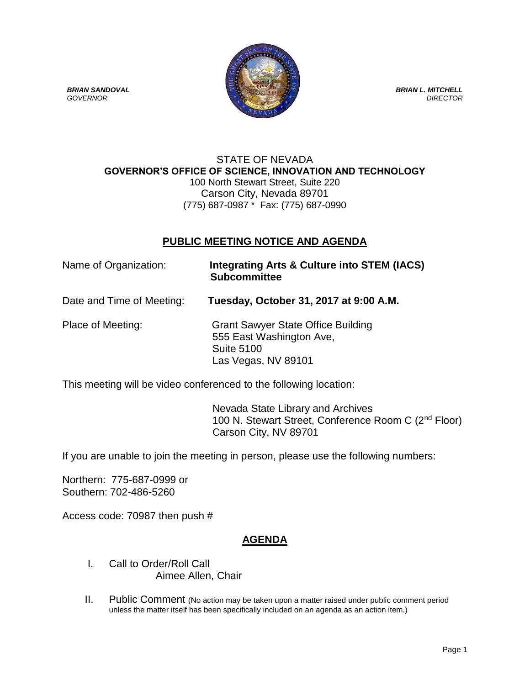

### STATE OF NEVADA **GOVERNOR'S OFFICE OF SCIENCE, INNOVATION AND TECHNOLOGY** 100 North Stewart Street, Suite 220 Carson City, Nevada 89701 (775) 687-0987 \* Fax: (775) 687-0990

# **PUBLIC MEETING NOTICE AND AGENDA**

| Name of Organization:     | Integrating Arts & Culture into STEM (IACS)<br><b>Subcommittee</b>                                                |
|---------------------------|-------------------------------------------------------------------------------------------------------------------|
| Date and Time of Meeting: | Tuesday, October 31, 2017 at 9:00 A.M.                                                                            |
| Place of Meeting:         | <b>Grant Sawyer State Office Building</b><br>555 East Washington Ave,<br><b>Suite 5100</b><br>Las Vegas, NV 89101 |

This meeting will be video conferenced to the following location:

 Nevada State Library and Archives 100 N. Stewart Street, Conference Room C (2<sup>nd</sup> Floor) Carson City, NV 89701

If you are unable to join the meeting in person, please use the following numbers:

Northern: 775-687-0999 or Southern: 702-486-5260

Access code: 70987 then push #

# **AGENDA**

- I. Call to Order/Roll Call Aimee Allen, Chair
- II. Public Comment (No action may be taken upon a matter raised under public comment period unless the matter itself has been specifically included on an agenda as an action item.)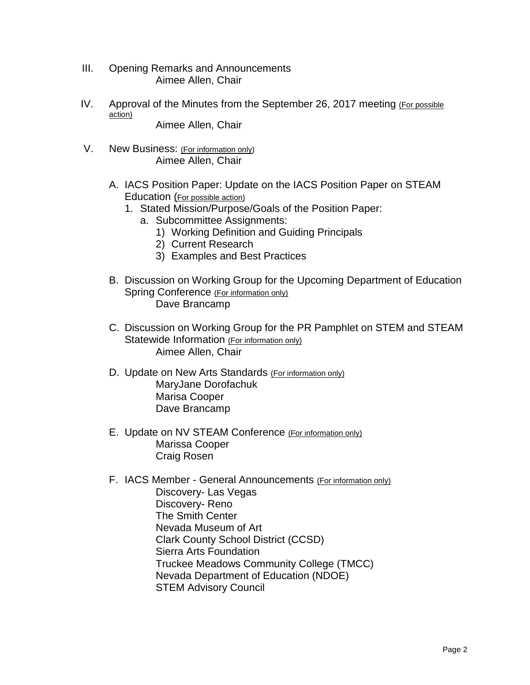- III. Opening Remarks and Announcements Aimee Allen, Chair
- IV. Approval of the Minutes from the September 26, 2017 meeting (For possible action)

Aimee Allen, Chair

- V. New Business: (For information only) Aimee Allen, Chair
	- A. IACS Position Paper: Update on the IACS Position Paper on STEAM Education (For possible action)
		- 1. Stated Mission/Purpose/Goals of the Position Paper:
			- a. Subcommittee Assignments:
				- 1) Working Definition and Guiding Principals
				- 2) Current Research
				- 3) Examples and Best Practices
	- B. Discussion on Working Group for the Upcoming Department of Education Spring Conference (For information only) Dave Brancamp
	- C. Discussion on Working Group for the PR Pamphlet on STEM and STEAM Statewide Information (For information only) Aimee Allen, Chair
	- D. Update on New Arts Standards (For information only) MaryJane Dorofachuk Marisa Cooper Dave Brancamp
	- E. Update on NV STEAM Conference (For information only) Marissa Cooper Craig Rosen
	- F. IACS Member General Announcements (For information only) Discovery- Las Vegas Discovery- Reno The Smith Center Nevada Museum of Art Clark County School District (CCSD) Sierra Arts Foundation Truckee Meadows Community College (TMCC) Nevada Department of Education (NDOE) STEM Advisory Council